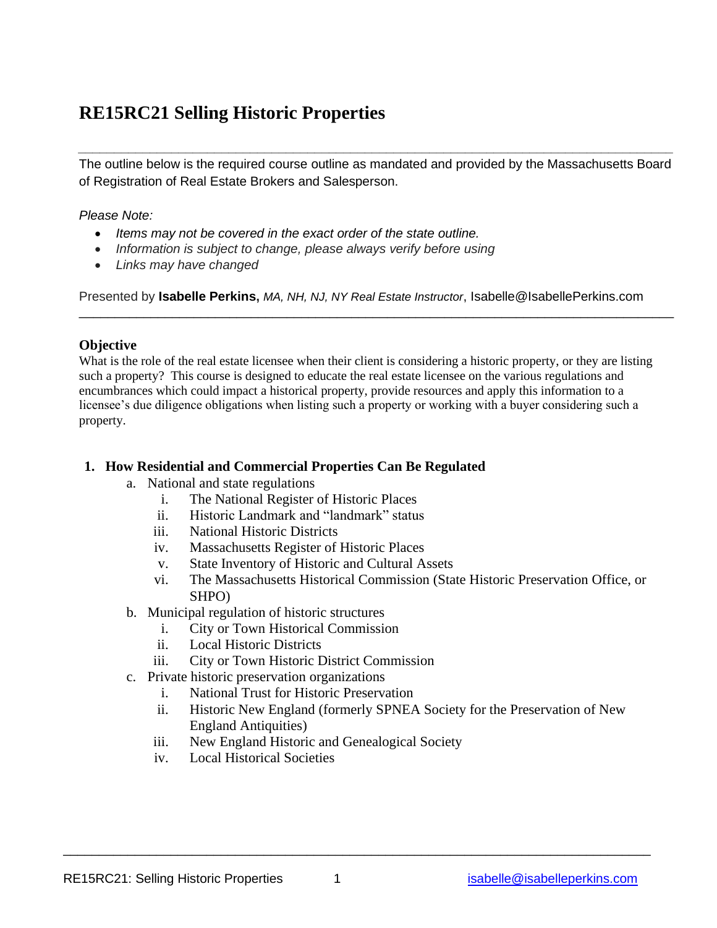# **RE15RC21 Selling Historic Properties**

The outline below is the required course outline as mandated and provided by the Massachusetts Board of Registration of Real Estate Brokers and Salesperson.

*\_\_\_\_\_\_\_\_\_\_\_\_\_\_\_\_\_\_\_\_\_\_\_\_\_\_\_\_\_\_\_\_\_\_\_\_\_\_\_\_\_\_\_\_\_\_\_\_\_\_\_\_\_\_\_\_\_\_\_\_\_\_\_\_\_\_\_\_\_\_\_\_\_\_\_\_\_\_\_\_\_\_\_*

*Please Note:*

- *Items may not be covered in the exact order of the state outline.*
- *Information is subject to change, please always verify before using*
- *Links may have changed*

Presented by **Isabelle Perkins,** *MA, NH, NJ, NY Real Estate Instructor*, Isabelle@IsabellePerkins.com

\_\_\_\_\_\_\_\_\_\_\_\_\_\_\_\_\_\_\_\_\_\_\_\_\_\_\_\_\_\_\_\_\_\_\_\_\_\_\_\_\_\_\_\_\_\_\_\_\_\_\_\_\_\_\_\_\_\_\_\_\_\_\_\_\_\_\_\_\_\_\_\_\_\_\_\_\_\_\_\_\_\_\_

# **Objective**

What is the role of the real estate licensee when their client is considering a historic property, or they are listing such a property? This course is designed to educate the real estate licensee on the various regulations and encumbrances which could impact a historical property, provide resources and apply this information to a licensee's due diligence obligations when listing such a property or working with a buyer considering such a property.

# **1. How Residential and Commercial Properties Can Be Regulated**

- a. National and state regulations
	- i. The National Register of Historic Places
	- ii. Historic Landmark and "landmark" status
	- iii. National Historic Districts
	- iv. Massachusetts Register of Historic Places
	- v. State Inventory of Historic and Cultural Assets
	- vi. The Massachusetts Historical Commission (State Historic Preservation Office, or SHPO)
- b. Municipal regulation of historic structures
	- i. City or Town Historical Commission
	- ii. Local Historic Districts
	- iii. City or Town Historic District Commission
- c. Private historic preservation organizations
	- i. National Trust for Historic Preservation
	- ii. Historic New England (formerly SPNEA Society for the Preservation of New England Antiquities)
	- iii. New England Historic and Genealogical Society
	- iv. Local Historical Societies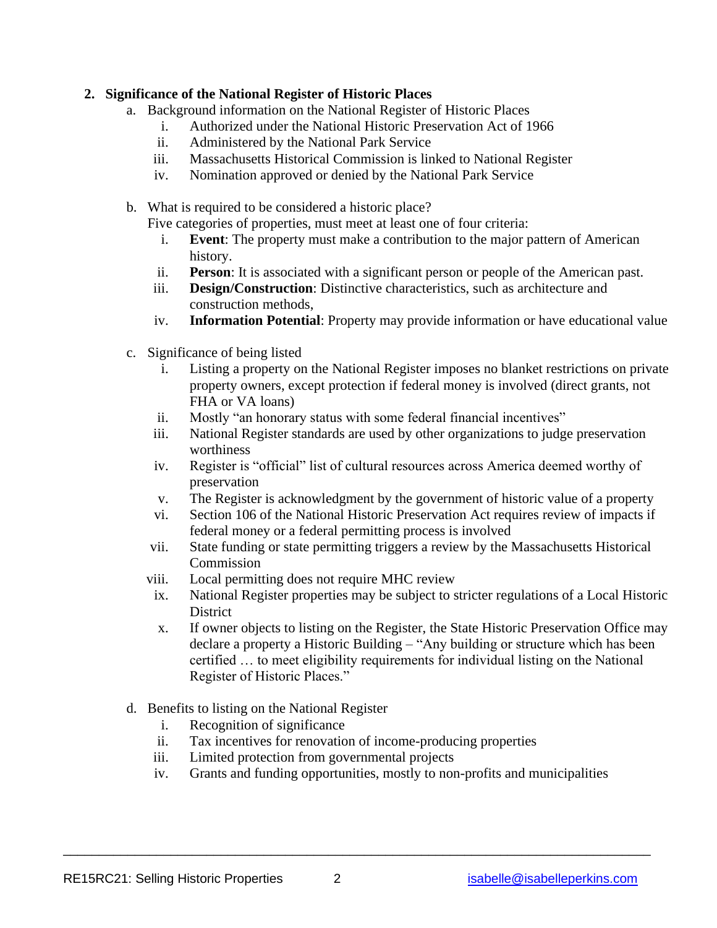## **2. Significance of the National Register of Historic Places**

- a. Background information on the National Register of Historic Places
	- i. Authorized under the National Historic Preservation Act of 1966
	- ii. Administered by the National Park Service
	- iii. Massachusetts Historical Commission is linked to National Register
	- iv. Nomination approved or denied by the National Park Service
- b. What is required to be considered a historic place?

Five categories of properties, must meet at least one of four criteria:

- i. **Event**: The property must make a contribution to the major pattern of American history.
- ii. **Person**: It is associated with a significant person or people of the American past.
- iii. **Design/Construction**: Distinctive characteristics, such as architecture and construction methods,
- iv. **Information Potential**: Property may provide information or have educational value
- c. Significance of being listed
	- i. Listing a property on the National Register imposes no blanket restrictions on private property owners, except protection if federal money is involved (direct grants, not FHA or VA loans)
	- ii. Mostly "an honorary status with some federal financial incentives"
	- iii. National Register standards are used by other organizations to judge preservation worthiness
	- iv. Register is "official" list of cultural resources across America deemed worthy of preservation
	- v. The Register is acknowledgment by the government of historic value of a property
	- vi. Section 106 of the National Historic Preservation Act requires review of impacts if federal money or a federal permitting process is involved
	- vii. State funding or state permitting triggers a review by the Massachusetts Historical **Commission**
	- viii. Local permitting does not require MHC review
	- ix. National Register properties may be subject to stricter regulations of a Local Historic **District**
	- x. If owner objects to listing on the Register, the State Historic Preservation Office may declare a property a Historic Building – "Any building or structure which has been certified … to meet eligibility requirements for individual listing on the National Register of Historic Places."
- d. Benefits to listing on the National Register
	- i. Recognition of significance
	- ii. Tax incentives for renovation of income-producing properties
	- iii. Limited protection from governmental projects
	- iv. Grants and funding opportunities, mostly to non-profits and municipalities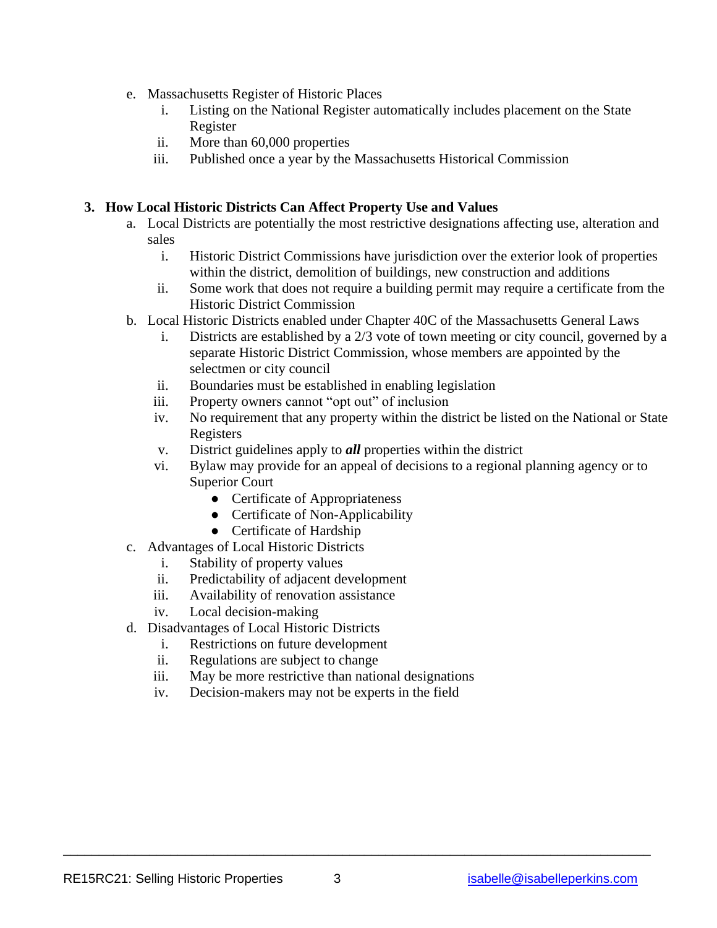- e. Massachusetts Register of Historic Places
	- i. Listing on the National Register automatically includes placement on the State Register
	- ii. More than 60,000 properties
	- iii. Published once a year by the Massachusetts Historical Commission

## **3. How Local Historic Districts Can Affect Property Use and Values**

- a. Local Districts are potentially the most restrictive designations affecting use, alteration and sales
	- i. Historic District Commissions have jurisdiction over the exterior look of properties within the district, demolition of buildings, new construction and additions
	- ii. Some work that does not require a building permit may require a certificate from the Historic District Commission
- b. Local Historic Districts enabled under Chapter 40C of the Massachusetts General Laws
	- i. Districts are established by a 2/3 vote of town meeting or city council, governed by a separate Historic District Commission, whose members are appointed by the selectmen or city council
	- ii. Boundaries must be established in enabling legislation
	- iii. Property owners cannot "opt out" of inclusion
	- iv. No requirement that any property within the district be listed on the National or State Registers
	- v. District guidelines apply to *all* properties within the district
	- vi. Bylaw may provide for an appeal of decisions to a regional planning agency or to Superior Court
		- Certificate of Appropriateness
		- Certificate of Non-Applicability
		- Certificate of Hardship
- c. Advantages of Local Historic Districts
	- i. Stability of property values
	- ii. Predictability of adjacent development
	- iii. Availability of renovation assistance
	- iv. Local decision-making
- d. Disadvantages of Local Historic Districts
	- i. Restrictions on future development
	- ii. Regulations are subject to change
	- iii. May be more restrictive than national designations
	- iv. Decision-makers may not be experts in the field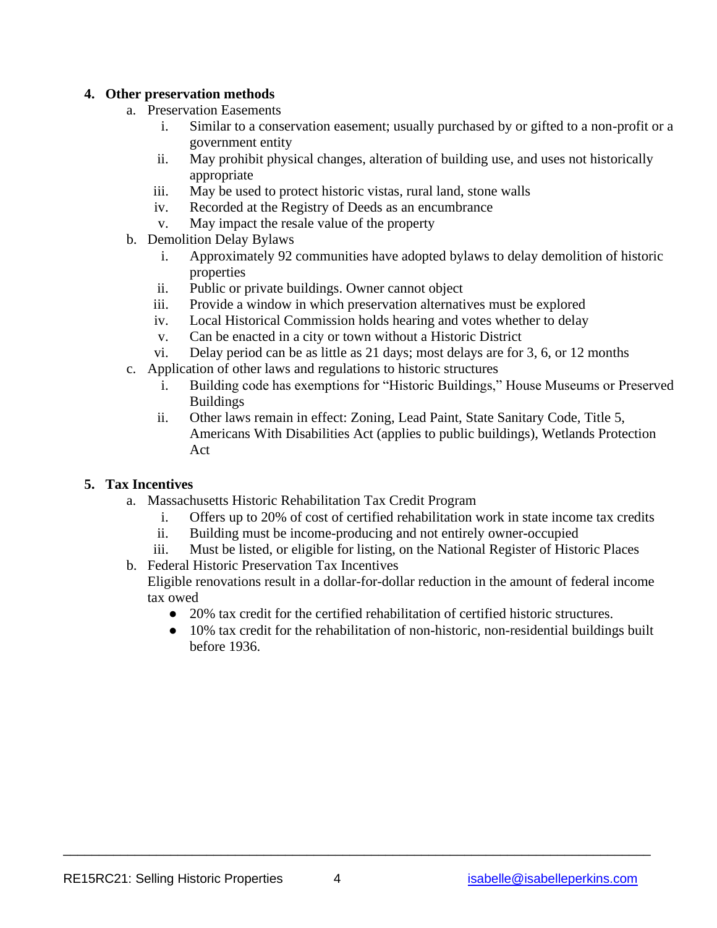## **4. Other preservation methods**

- a. Preservation Easements
	- i. Similar to a conservation easement; usually purchased by or gifted to a non-profit or a government entity
	- ii. May prohibit physical changes, alteration of building use, and uses not historically appropriate
	- iii. May be used to protect historic vistas, rural land, stone walls
	- iv. Recorded at the Registry of Deeds as an encumbrance
	- v. May impact the resale value of the property
- b. Demolition Delay Bylaws
	- i. Approximately 92 communities have adopted bylaws to delay demolition of historic properties
	- ii. Public or private buildings. Owner cannot object
	- iii. Provide a window in which preservation alternatives must be explored
	- iv. Local Historical Commission holds hearing and votes whether to delay
	- v. Can be enacted in a city or town without a Historic District
	- vi. Delay period can be as little as 21 days; most delays are for 3, 6, or 12 months
- c. Application of other laws and regulations to historic structures
	- i. Building code has exemptions for "Historic Buildings," House Museums or Preserved Buildings
	- ii. Other laws remain in effect: Zoning, Lead Paint, State Sanitary Code, Title 5, Americans With Disabilities Act (applies to public buildings), Wetlands Protection Act

### **5. Tax Incentives**

- a. Massachusetts Historic Rehabilitation Tax Credit Program
	- i. Offers up to 20% of cost of certified rehabilitation work in state income tax credits
	- ii. Building must be income-producing and not entirely owner-occupied
	- iii. Must be listed, or eligible for listing, on the National Register of Historic Places
- b. Federal Historic Preservation Tax Incentives Eligible renovations result in a dollar-for-dollar reduction in the amount of federal income tax owed
	- 20% tax credit for the certified rehabilitation of certified historic structures.
	- 10% tax credit for the rehabilitation of non-historic, non-residential buildings built before 1936.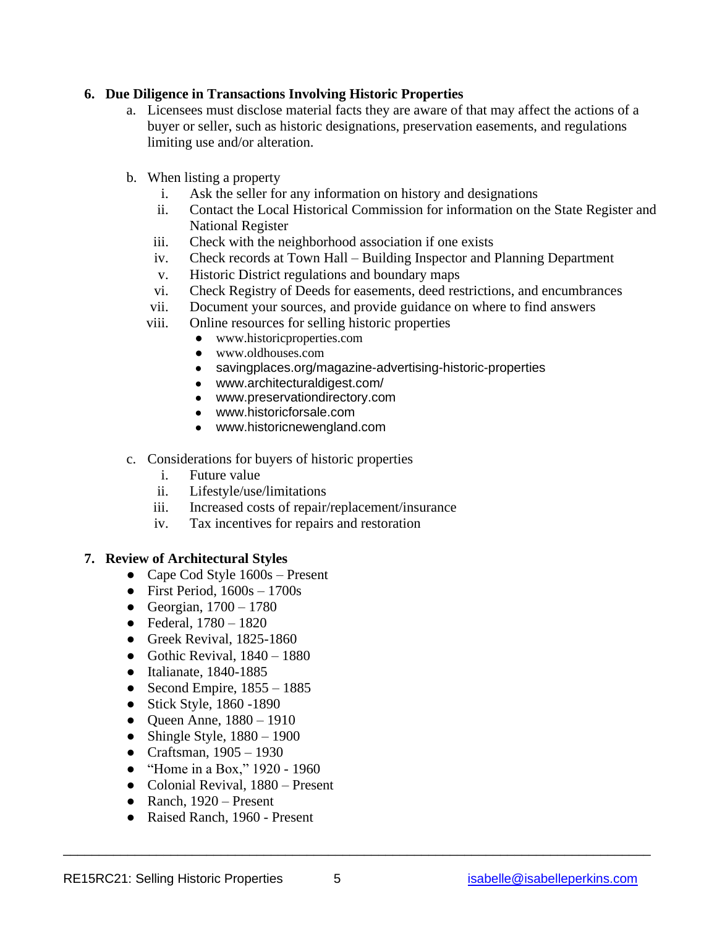### **6. Due Diligence in Transactions Involving Historic Properties**

- a. Licensees must disclose material facts they are aware of that may affect the actions of a buyer or seller, such as historic designations, preservation easements, and regulations limiting use and/or alteration.
- b. When listing a property
	- i. Ask the seller for any information on history and designations
	- ii. Contact the Local Historical Commission for information on the State Register and National Register
	- iii. Check with the neighborhood association if one exists
	- iv. Check records at Town Hall Building Inspector and Planning Department
	- v. Historic District regulations and boundary maps
	- vi. Check Registry of Deeds for easements, deed restrictions, and encumbrances
	- vii. Document your sources, and provide guidance on where to find answers
	- viii. Online resources for selling historic properties
		- [www.historicproperties.com](http://www.historicproperties.com/)
		- [www.oldhouses.com](http://www.oldhouses.com/)
		- [savingplaces.org/magazine-advertising-historic-properties](https://savingplaces.org/magazine-advertising-historic-properties)
		- [www.architecturaldigest.com/](https://www.architecturaldigest.com/)
		- [www.preservationdirectory.com](https://www.preservationdirectory.com/)
		- [www.historicforsale.com](https://www.historicforsale.com/)
		- [www.historicnewengland.com](https://www.historicnewengland.com/)
- c. Considerations for buyers of historic properties
	- i. Future value
	- ii. Lifestyle/use/limitations
	- iii. Increased costs of repair/replacement/insurance
	- iv. Tax incentives for repairs and restoration

#### **7. Review of Architectural Styles**

- Cape Cod Style  $1600s -$ Present
- First Period,  $1600s 1700s$
- Georgian,  $1700 1780$
- Federal,  $1780 1820$
- Greek Revival, 1825-1860
- Gothic Revival,  $1840 1880$
- Italianate, 1840-1885
- Second Empire,  $1855 1885$
- Stick Style, 1860 -1890
- Queen Anne,  $1880 1910$
- Shingle Style,  $1880 1900$
- Craftsman, 1905 1930
- "Home in a Box," 1920 1960
- Colonial Revival, 1880 Present
- $\bullet$  Ranch, 1920 Present
- Raised Ranch, 1960 Present